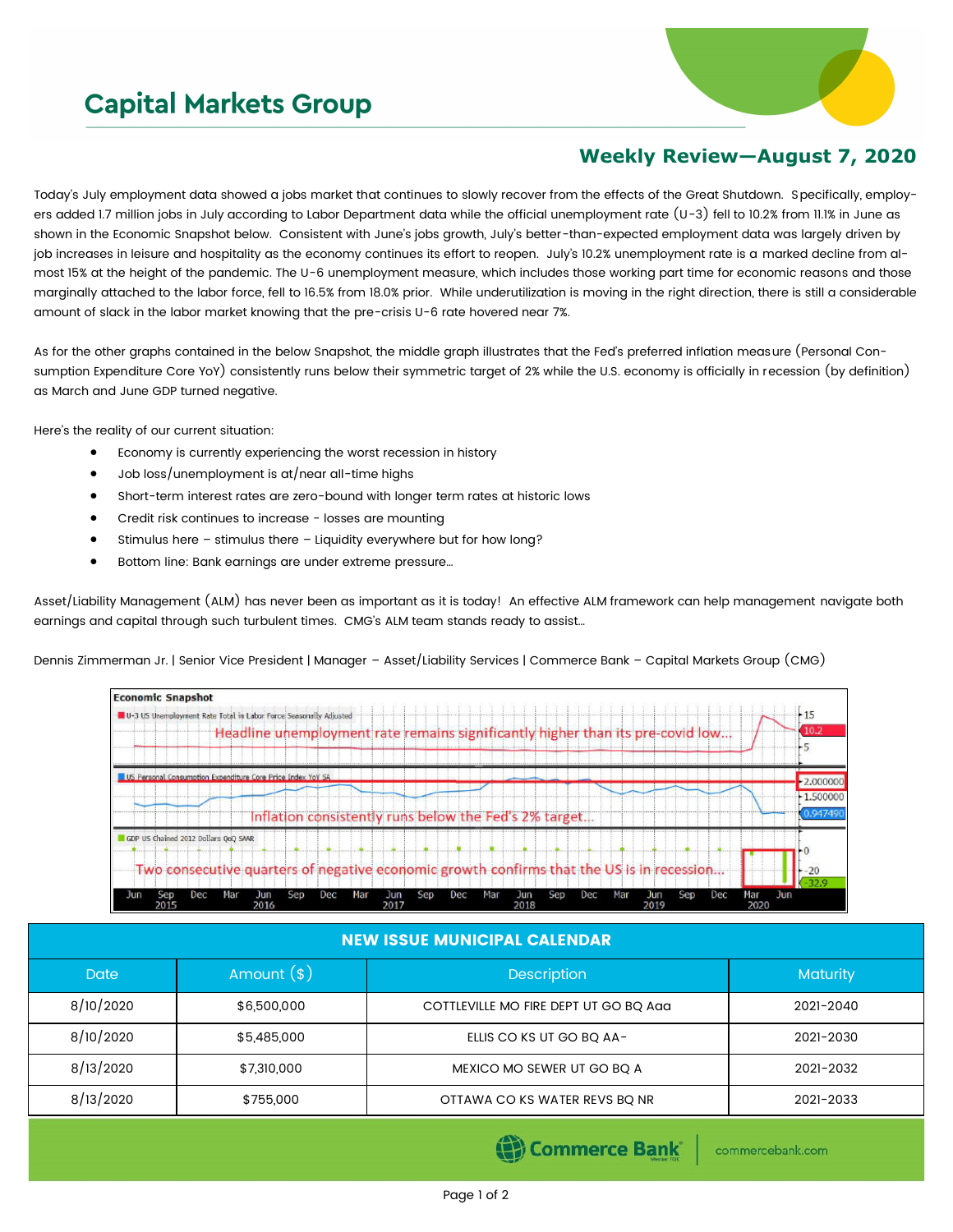## **Capital Markets Group**



## **Weekly Review—August 7, 2020**

Today's July employment data showed a jobs market that continues to slowly recover from the effects of the Great Shutdown. Specifically, employers added 1.7 million jobs in July according to Labor Department data while the official unemployment rate (U-3) fell to 10.2% from 11.1% in June as shown in the Economic Snapshot below. Consistent with June's jobs growth, July's better-than-expected employment data was largely driven by job increases in leisure and hospitality as the economy continues its effort to reopen. July's 10.2% unemployment rate is a marked decline from almost 15% at the height of the pandemic. The U-6 unemployment measure, which includes those working part time for economic reasons and those marginally attached to the labor force, fell to 16.5% from 18.0% prior. While underutilization is moving in the right direction, there is still a considerable amount of slack in the labor market knowing that the pre-crisis U-6 rate hovered near 7%.

As for the other graphs contained in the below Snapshot, the middle graph illustrates that the Fed's preferred inflation measure (Personal Consumption Expenditure Core YoY) consistently runs below their symmetric target of 2% while the U.S. economy is officially in recession (by definition) as March and June GDP turned negative.

Here's the reality of our current situation:

- Economy is currently experiencing the worst recession in history
- Job loss/unemployment is at/near all-time highs
- Short-term interest rates are zero-bound with longer term rates at historic lows
- Credit risk continues to increase losses are mounting
- Stimulus here stimulus there Liquidity everywhere but for how long?
- Bottom line: Bank earnings are under extreme pressure…

Asset/Liability Management (ALM) has never been as important as it is today! An effective ALM framework can help management navigate both earnings and capital through such turbulent times. CMG's ALM team stands ready to assist…

Dennis Zimmerman Jr. | Senior Vice President | Manager – Asset/Liability Services | Commerce Bank – Capital Markets Group (CMG)



## NEW ISSUE MUNICIPAL CALENDAR

| <b>Date</b> | Amount $(*)$ | <b>Description</b>                    | <b>Maturity</b> |  |
|-------------|--------------|---------------------------------------|-----------------|--|
| 8/10/2020   | \$6,500,000  | COTTLEVILLE MO FIRE DEPT UT GO BQ Aaa | 2021-2040       |  |
| 8/10/2020   | \$5,485,000  | ELLIS CO KS UT GO BO AA-              | 2021-2030       |  |
| 8/13/2020   | \$7,310,000  | MEXICO MO SEWER UT GO BQ A            | 2021-2032       |  |
| 8/13/2020   | \$755,000    | OTTAWA CO KS WATER REVS BO NR         | 2021-2033       |  |

Commerce Bank

commercebank.com